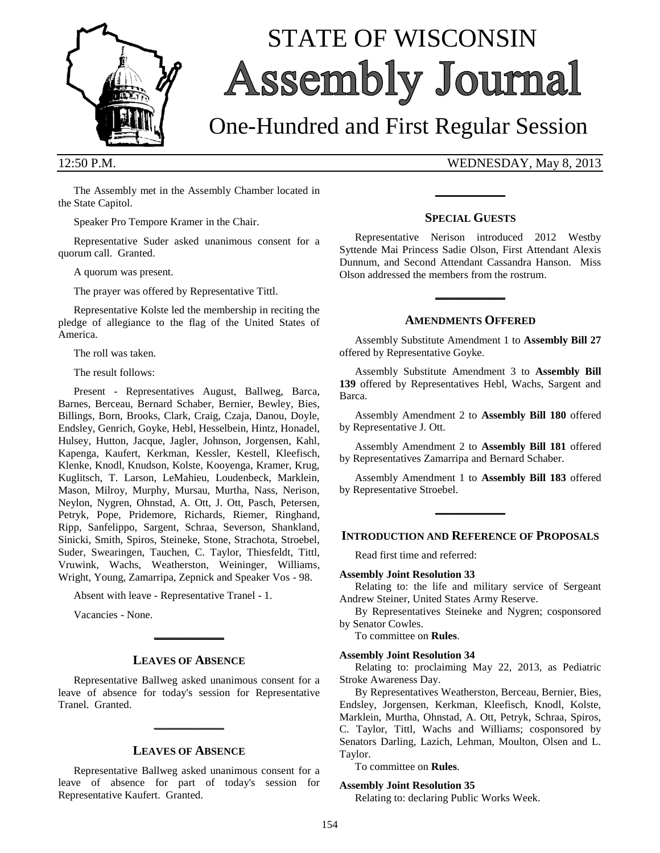

# STATE OF WISCONSIN Assembly Journal

## One-Hundred and First Regular Session

12:50 P.M. WEDNESDAY, May 8, 2013

The Assembly met in the Assembly Chamber located in the State Capitol.

Speaker Pro Tempore Kramer in the Chair.

Representative Suder asked unanimous consent for a quorum call. Granted.

A quorum was present.

The prayer was offered by Representative Tittl.

Representative Kolste led the membership in reciting the pledge of allegiance to the flag of the United States of America.

The roll was taken.

The result follows:

Present - Representatives August, Ballweg, Barca, Barnes, Berceau, Bernard Schaber, Bernier, Bewley, Bies, Billings, Born, Brooks, Clark, Craig, Czaja, Danou, Doyle, Endsley, Genrich, Goyke, Hebl, Hesselbein, Hintz, Honadel, Hulsey, Hutton, Jacque, Jagler, Johnson, Jorgensen, Kahl, Kapenga, Kaufert, Kerkman, Kessler, Kestell, Kleefisch, Klenke, Knodl, Knudson, Kolste, Kooyenga, Kramer, Krug, Kuglitsch, T. Larson, LeMahieu, Loudenbeck, Marklein, Mason, Milroy, Murphy, Mursau, Murtha, Nass, Nerison, Neylon, Nygren, Ohnstad, A. Ott, J. Ott, Pasch, Petersen, Petryk, Pope, Pridemore, Richards, Riemer, Ringhand, Ripp, Sanfelippo, Sargent, Schraa, Severson, Shankland, Sinicki, Smith, Spiros, Steineke, Stone, Strachota, Stroebel, Suder, Swearingen, Tauchen, C. Taylor, Thiesfeldt, Tittl, Vruwink, Wachs, Weatherston, Weininger, Williams, Wright, Young, Zamarripa, Zepnick and Speaker Vos - 98.

Absent with leave - Representative Tranel - 1.

Vacancies - None.

#### **LEAVES OF ABSENCE**

**\_\_\_\_\_\_\_\_\_\_\_\_\_**

Representative Ballweg asked unanimous consent for a leave of absence for today's session for Representative Tranel. Granted.

**\_\_\_\_\_\_\_\_\_\_\_\_\_**

#### **LEAVES OF ABSENCE**

Representative Ballweg asked unanimous consent for a leave of absence for part of today's session for Representative Kaufert. Granted.

#### **SPECIAL GUESTS**

**\_\_\_\_\_\_\_\_\_\_\_\_\_**

Representative Nerison introduced 2012 Westby Syttende Mai Princess Sadie Olson, First Attendant Alexis Dunnum, and Second Attendant Cassandra Hanson. Miss Olson addressed the members from the rostrum.

#### **AMENDMENTS OFFERED**

**\_\_\_\_\_\_\_\_\_\_\_\_\_**

Assembly Substitute Amendment 1 to **Assembly Bill 27** offered by Representative Goyke.

Assembly Substitute Amendment 3 to **Assembly Bill 139** offered by Representatives Hebl, Wachs, Sargent and Barca.

Assembly Amendment 2 to **Assembly Bill 180** offered by Representative J. Ott.

Assembly Amendment 2 to **Assembly Bill 181** offered by Representatives Zamarripa and Bernard Schaber.

Assembly Amendment 1 to **Assembly Bill 183** offered by Representative Stroebel.

**\_\_\_\_\_\_\_\_\_\_\_\_\_**

#### **INTRODUCTION AND REFERENCE OF PROPOSALS**

Read first time and referred:

#### **Assembly Joint Resolution 33**

Relating to: the life and military service of Sergeant Andrew Steiner, United States Army Reserve.

By Representatives Steineke and Nygren; cosponsored by Senator Cowles.

To committee on **Rules**.

#### **Assembly Joint Resolution 34**

Relating to: proclaiming May 22, 2013, as Pediatric Stroke Awareness Day.

By Representatives Weatherston, Berceau, Bernier, Bies, Endsley, Jorgensen, Kerkman, Kleefisch, Knodl, Kolste, Marklein, Murtha, Ohnstad, A. Ott, Petryk, Schraa, Spiros, C. Taylor, Tittl, Wachs and Williams; cosponsored by Senators Darling, Lazich, Lehman, Moulton, Olsen and L. Taylor.

To committee on **Rules**.

#### **Assembly Joint Resolution 35**

Relating to: declaring Public Works Week.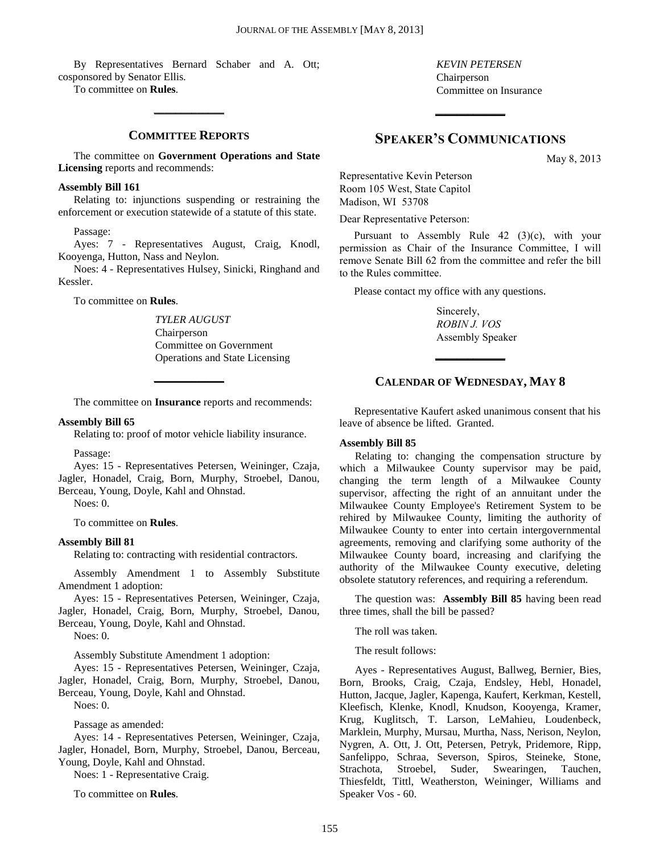By Representatives Bernard Schaber and A. Ott; cosponsored by Senator Ellis.

To committee on **Rules**.

#### **COMMITTEE REPORTS**

**\_\_\_\_\_\_\_\_\_\_\_\_\_**

The committee on **Government Operations and State Licensing** reports and recommends:

#### **Assembly Bill 161**

Relating to: injunctions suspending or restraining the enforcement or execution statewide of a statute of this state.

Passage:

Ayes: 7 - Representatives August, Craig, Knodl, Kooyenga, Hutton, Nass and Neylon.

Noes: 4 - Representatives Hulsey, Sinicki, Ringhand and Kessler.

To committee on **Rules**.

*TYLER AUGUST* Chairperson Committee on Government Operations and State Licensing

The committee on **Insurance** reports and recommends:

**\_\_\_\_\_\_\_\_\_\_\_\_\_**

#### **Assembly Bill 65**

Relating to: proof of motor vehicle liability insurance.

Passage:

Ayes: 15 - Representatives Petersen, Weininger, Czaja, Jagler, Honadel, Craig, Born, Murphy, Stroebel, Danou, Berceau, Young, Doyle, Kahl and Ohnstad.

Noes: 0.

To committee on **Rules**.

#### **Assembly Bill 81**

Relating to: contracting with residential contractors.

Assembly Amendment 1 to Assembly Substitute Amendment 1 adoption:

Ayes: 15 - Representatives Petersen, Weininger, Czaja, Jagler, Honadel, Craig, Born, Murphy, Stroebel, Danou, Berceau, Young, Doyle, Kahl and Ohnstad.

Noes: 0.

Assembly Substitute Amendment 1 adoption:

Ayes: 15 - Representatives Petersen, Weininger, Czaja, Jagler, Honadel, Craig, Born, Murphy, Stroebel, Danou, Berceau, Young, Doyle, Kahl and Ohnstad.

Noes: 0.

Passage as amended:

Ayes: 14 - Representatives Petersen, Weininger, Czaja, Jagler, Honadel, Born, Murphy, Stroebel, Danou, Berceau, Young, Doyle, Kahl and Ohnstad.

Noes: 1 - Representative Craig.

To committee on **Rules**.

*KEVIN PETERSEN* Chairperson Committee on Insurance

### **SPEAKER'S COMMUNICATIONS**

**\_\_\_\_\_\_\_\_\_\_\_\_\_**

May 8, 2013

Representative Kevin Peterson Room 105 West, State Capitol Madison, WI 53708

Dear Representative Peterson:

Pursuant to Assembly Rule 42 (3)(c), with your permission as Chair of the Insurance Committee, I will remove Senate Bill 62 from the committee and refer the bill to the Rules committee.

Please contact my office with any questions.

Sincerely, *ROBIN J. VOS* Assembly Speaker

#### **CALENDAR OF WEDNESDAY, MAY 8**

**\_\_\_\_\_\_\_\_\_\_\_\_\_**

Representative Kaufert asked unanimous consent that his leave of absence be lifted. Granted.

#### **Assembly Bill 85**

Relating to: changing the compensation structure by which a Milwaukee County supervisor may be paid, changing the term length of a Milwaukee County supervisor, affecting the right of an annuitant under the Milwaukee County Employee's Retirement System to be rehired by Milwaukee County, limiting the authority of Milwaukee County to enter into certain intergovernmental agreements, removing and clarifying some authority of the Milwaukee County board, increasing and clarifying the authority of the Milwaukee County executive, deleting obsolete statutory references, and requiring a referendum.

The question was: **Assembly Bill 85** having been read three times, shall the bill be passed?

The roll was taken.

The result follows:

Ayes - Representatives August, Ballweg, Bernier, Bies, Born, Brooks, Craig, Czaja, Endsley, Hebl, Honadel, Hutton, Jacque, Jagler, Kapenga, Kaufert, Kerkman, Kestell, Kleefisch, Klenke, Knodl, Knudson, Kooyenga, Kramer, Krug, Kuglitsch, T. Larson, LeMahieu, Loudenbeck, Marklein, Murphy, Mursau, Murtha, Nass, Nerison, Neylon, Nygren, A. Ott, J. Ott, Petersen, Petryk, Pridemore, Ripp, Sanfelippo, Schraa, Severson, Spiros, Steineke, Stone, Strachota, Stroebel, Suder, Swearingen, Tauchen, Thiesfeldt, Tittl, Weatherston, Weininger, Williams and Speaker Vos - 60.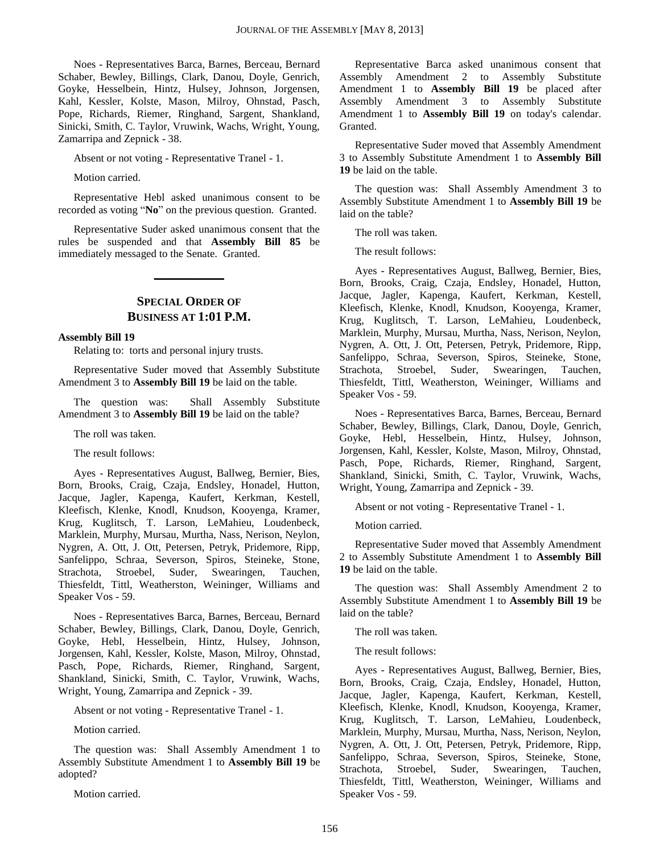Noes - Representatives Barca, Barnes, Berceau, Bernard Schaber, Bewley, Billings, Clark, Danou, Doyle, Genrich, Goyke, Hesselbein, Hintz, Hulsey, Johnson, Jorgensen, Kahl, Kessler, Kolste, Mason, Milroy, Ohnstad, Pasch, Pope, Richards, Riemer, Ringhand, Sargent, Shankland, Sinicki, Smith, C. Taylor, Vruwink, Wachs, Wright, Young, Zamarripa and Zepnick - 38.

Absent or not voting - Representative Tranel - 1.

Motion carried.

Representative Hebl asked unanimous consent to be recorded as voting "**No**" on the previous question. Granted.

Representative Suder asked unanimous consent that the rules be suspended and that **Assembly Bill 85** be immediately messaged to the Senate. Granted.

#### **SPECIAL ORDER OF BUSINESS AT 1:01 P.M.**

**\_\_\_\_\_\_\_\_\_\_\_\_\_**

#### **Assembly Bill 19**

Relating to: torts and personal injury trusts.

Representative Suder moved that Assembly Substitute Amendment 3 to **Assembly Bill 19** be laid on the table.

The question was: Shall Assembly Substitute Amendment 3 to **Assembly Bill 19** be laid on the table?

The roll was taken.

The result follows:

Ayes - Representatives August, Ballweg, Bernier, Bies, Born, Brooks, Craig, Czaja, Endsley, Honadel, Hutton, Jacque, Jagler, Kapenga, Kaufert, Kerkman, Kestell, Kleefisch, Klenke, Knodl, Knudson, Kooyenga, Kramer, Krug, Kuglitsch, T. Larson, LeMahieu, Loudenbeck, Marklein, Murphy, Mursau, Murtha, Nass, Nerison, Neylon, Nygren, A. Ott, J. Ott, Petersen, Petryk, Pridemore, Ripp, Sanfelippo, Schraa, Severson, Spiros, Steineke, Stone, Strachota, Stroebel, Suder, Swearingen, Tauchen, Thiesfeldt, Tittl, Weatherston, Weininger, Williams and Speaker Vos - 59.

Noes - Representatives Barca, Barnes, Berceau, Bernard Schaber, Bewley, Billings, Clark, Danou, Doyle, Genrich, Goyke, Hebl, Hesselbein, Hintz, Hulsey, Johnson, Jorgensen, Kahl, Kessler, Kolste, Mason, Milroy, Ohnstad, Pasch, Pope, Richards, Riemer, Ringhand, Sargent, Shankland, Sinicki, Smith, C. Taylor, Vruwink, Wachs, Wright, Young, Zamarripa and Zepnick - 39.

Absent or not voting - Representative Tranel - 1.

Motion carried.

The question was: Shall Assembly Amendment 1 to Assembly Substitute Amendment 1 to **Assembly Bill 19** be adopted?

Motion carried.

Representative Barca asked unanimous consent that Assembly Amendment 2 to Assembly Substitute Amendment 1 to **Assembly Bill 19** be placed after Assembly Amendment 3 to Assembly Substitute Amendment 1 to **Assembly Bill 19** on today's calendar. Granted.

Representative Suder moved that Assembly Amendment 3 to Assembly Substitute Amendment 1 to **Assembly Bill 19** be laid on the table.

The question was: Shall Assembly Amendment 3 to Assembly Substitute Amendment 1 to **Assembly Bill 19** be laid on the table?

The roll was taken.

The result follows:

Ayes - Representatives August, Ballweg, Bernier, Bies, Born, Brooks, Craig, Czaja, Endsley, Honadel, Hutton, Jacque, Jagler, Kapenga, Kaufert, Kerkman, Kestell, Kleefisch, Klenke, Knodl, Knudson, Kooyenga, Kramer, Krug, Kuglitsch, T. Larson, LeMahieu, Loudenbeck, Marklein, Murphy, Mursau, Murtha, Nass, Nerison, Neylon, Nygren, A. Ott, J. Ott, Petersen, Petryk, Pridemore, Ripp, Sanfelippo, Schraa, Severson, Spiros, Steineke, Stone, Strachota, Stroebel, Suder, Swearingen, Tauchen, Thiesfeldt, Tittl, Weatherston, Weininger, Williams and Speaker Vos - 59.

Noes - Representatives Barca, Barnes, Berceau, Bernard Schaber, Bewley, Billings, Clark, Danou, Doyle, Genrich, Goyke, Hebl, Hesselbein, Hintz, Hulsey, Johnson, Jorgensen, Kahl, Kessler, Kolste, Mason, Milroy, Ohnstad, Pasch, Pope, Richards, Riemer, Ringhand, Sargent, Shankland, Sinicki, Smith, C. Taylor, Vruwink, Wachs, Wright, Young, Zamarripa and Zepnick - 39.

Absent or not voting - Representative Tranel - 1.

Motion carried.

Representative Suder moved that Assembly Amendment 2 to Assembly Substitute Amendment 1 to **Assembly Bill 19** be laid on the table.

The question was: Shall Assembly Amendment 2 to Assembly Substitute Amendment 1 to **Assembly Bill 19** be laid on the table?

The roll was taken.

The result follows:

Ayes - Representatives August, Ballweg, Bernier, Bies, Born, Brooks, Craig, Czaja, Endsley, Honadel, Hutton, Jacque, Jagler, Kapenga, Kaufert, Kerkman, Kestell, Kleefisch, Klenke, Knodl, Knudson, Kooyenga, Kramer, Krug, Kuglitsch, T. Larson, LeMahieu, Loudenbeck, Marklein, Murphy, Mursau, Murtha, Nass, Nerison, Neylon, Nygren, A. Ott, J. Ott, Petersen, Petryk, Pridemore, Ripp, Sanfelippo, Schraa, Severson, Spiros, Steineke, Stone, Strachota, Stroebel, Suder, Swearingen, Tauchen, Thiesfeldt, Tittl, Weatherston, Weininger, Williams and Speaker Vos - 59.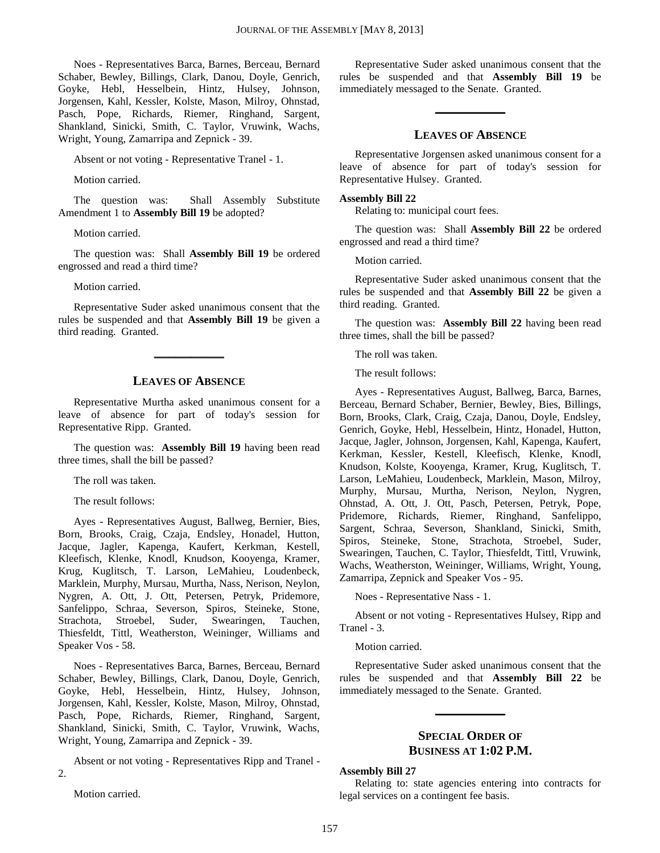Noes - Representatives Barca, Barnes, Berceau, Bernard Schaber, Bewley, Billings, Clark, Danou, Doyle, Genrich, Goyke, Hebl, Hesselbein, Hintz, Hulsey, Johnson, Jorgensen, Kahl, Kessler, Kolste, Mason, Milroy, Ohnstad, Pasch, Pope, Richards, Riemer, Ringhand, Sargent, Shankland, Sinicki, Smith, C. Taylor, Vruwink, Wachs, Wright, Young, Zamarripa and Zepnick - 39.

Absent or not voting - Representative Tranel - 1.

Motion carried.

The question was: Shall Assembly Substitute Amendment 1 to **Assembly Bill 19** be adopted?

Motion carried.

The question was: Shall **Assembly Bill 19** be ordered engrossed and read a third time?

Motion carried.

Representative Suder asked unanimous consent that the rules be suspended and that **Assembly Bill 19** be given a third reading. Granted.

#### **LEAVES OF ABSENCE**

**\_\_\_\_\_\_\_\_\_\_\_\_\_**

Representative Murtha asked unanimous consent for a leave of absence for part of today's session for Representative Ripp. Granted.

The question was: **Assembly Bill 19** having been read three times, shall the bill be passed?

The roll was taken.

The result follows:

Ayes - Representatives August, Ballweg, Bernier, Bies, Born, Brooks, Craig, Czaja, Endsley, Honadel, Hutton, Jacque, Jagler, Kapenga, Kaufert, Kerkman, Kestell, Kleefisch, Klenke, Knodl, Knudson, Kooyenga, Kramer, Krug, Kuglitsch, T. Larson, LeMahieu, Loudenbeck, Marklein, Murphy, Mursau, Murtha, Nass, Nerison, Neylon, Nygren, A. Ott, J. Ott, Petersen, Petryk, Pridemore, Sanfelippo, Schraa, Severson, Spiros, Steineke, Stone, Strachota, Stroebel, Suder, Swearingen, Tauchen, Thiesfeldt, Tittl, Weatherston, Weininger, Williams and Speaker Vos - 58.

Noes - Representatives Barca, Barnes, Berceau, Bernard Schaber, Bewley, Billings, Clark, Danou, Doyle, Genrich, Goyke, Hebl, Hesselbein, Hintz, Hulsey, Johnson, Jorgensen, Kahl, Kessler, Kolste, Mason, Milroy, Ohnstad, Pasch, Pope, Richards, Riemer, Ringhand, Sargent, Shankland, Sinicki, Smith, C. Taylor, Vruwink, Wachs, Wright, Young, Zamarripa and Zepnick - 39.

Absent or not voting - Representatives Ripp and Tranel - 2.

Motion carried.

Representative Suder asked unanimous consent that the rules be suspended and that **Assembly Bill 19** be immediately messaged to the Senate. Granted.

#### **LEAVES OF ABSENCE**

**\_\_\_\_\_\_\_\_\_\_\_\_\_**

Representative Jorgensen asked unanimous consent for a leave of absence for part of today's session for Representative Hulsey. Granted.

#### **Assembly Bill 22**

Relating to: municipal court fees.

The question was: Shall **Assembly Bill 22** be ordered engrossed and read a third time?

Motion carried.

Representative Suder asked unanimous consent that the rules be suspended and that **Assembly Bill 22** be given a third reading. Granted.

The question was: **Assembly Bill 22** having been read three times, shall the bill be passed?

The roll was taken.

The result follows:

Ayes - Representatives August, Ballweg, Barca, Barnes, Berceau, Bernard Schaber, Bernier, Bewley, Bies, Billings, Born, Brooks, Clark, Craig, Czaja, Danou, Doyle, Endsley, Genrich, Goyke, Hebl, Hesselbein, Hintz, Honadel, Hutton, Jacque, Jagler, Johnson, Jorgensen, Kahl, Kapenga, Kaufert, Kerkman, Kessler, Kestell, Kleefisch, Klenke, Knodl, Knudson, Kolste, Kooyenga, Kramer, Krug, Kuglitsch, T. Larson, LeMahieu, Loudenbeck, Marklein, Mason, Milroy, Murphy, Mursau, Murtha, Nerison, Neylon, Nygren, Ohnstad, A. Ott, J. Ott, Pasch, Petersen, Petryk, Pope, Pridemore, Richards, Riemer, Ringhand, Sanfelippo, Sargent, Schraa, Severson, Shankland, Sinicki, Smith, Spiros, Steineke, Stone, Strachota, Stroebel, Suder, Swearingen, Tauchen, C. Taylor, Thiesfeldt, Tittl, Vruwink, Wachs, Weatherston, Weininger, Williams, Wright, Young, Zamarripa, Zepnick and Speaker Vos - 95.

Noes - Representative Nass - 1.

Absent or not voting - Representatives Hulsey, Ripp and Tranel - 3.

Motion carried.

Representative Suder asked unanimous consent that the rules be suspended and that **Assembly Bill 22** be immediately messaged to the Senate. Granted.

**\_\_\_\_\_\_\_\_\_\_\_\_\_**

#### **SPECIAL ORDER OF BUSINESS AT 1:02 P.M.**

#### **Assembly Bill 27**

Relating to: state agencies entering into contracts for legal services on a contingent fee basis.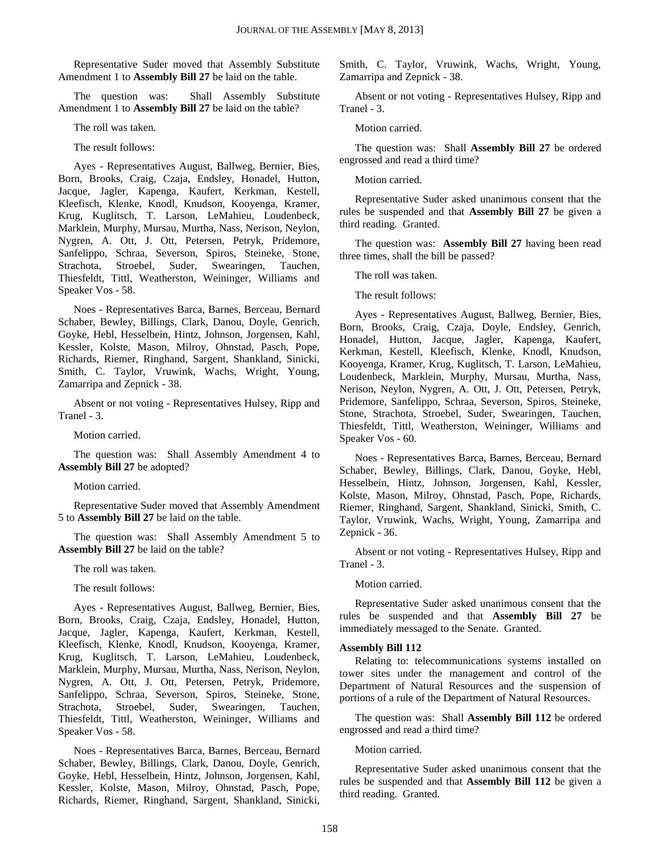Representative Suder moved that Assembly Substitute Amendment 1 to **Assembly Bill 27** be laid on the table.

The question was: Shall Assembly Substitute Amendment 1 to **Assembly Bill 27** be laid on the table?

The roll was taken.

The result follows:

Ayes - Representatives August, Ballweg, Bernier, Bies, Born, Brooks, Craig, Czaja, Endsley, Honadel, Hutton, Jacque, Jagler, Kapenga, Kaufert, Kerkman, Kestell, Kleefisch, Klenke, Knodl, Knudson, Kooyenga, Kramer, Krug, Kuglitsch, T. Larson, LeMahieu, Loudenbeck, Marklein, Murphy, Mursau, Murtha, Nass, Nerison, Neylon, Nygren, A. Ott, J. Ott, Petersen, Petryk, Pridemore, Sanfelippo, Schraa, Severson, Spiros, Steineke, Stone, Strachota, Stroebel, Suder, Swearingen, Tauchen, Thiesfeldt, Tittl, Weatherston, Weininger, Williams and Speaker Vos - 58.

Noes - Representatives Barca, Barnes, Berceau, Bernard Schaber, Bewley, Billings, Clark, Danou, Doyle, Genrich, Goyke, Hebl, Hesselbein, Hintz, Johnson, Jorgensen, Kahl, Kessler, Kolste, Mason, Milroy, Ohnstad, Pasch, Pope, Richards, Riemer, Ringhand, Sargent, Shankland, Sinicki, Smith, C. Taylor, Vruwink, Wachs, Wright, Young, Zamarripa and Zepnick - 38.

Absent or not voting - Representatives Hulsey, Ripp and Tranel - 3.

Motion carried.

The question was: Shall Assembly Amendment 4 to **Assembly Bill 27** be adopted?

Motion carried.

Representative Suder moved that Assembly Amendment 5 to **Assembly Bill 27** be laid on the table.

The question was: Shall Assembly Amendment 5 to **Assembly Bill 27** be laid on the table?

The roll was taken.

The result follows:

Ayes - Representatives August, Ballweg, Bernier, Bies, Born, Brooks, Craig, Czaja, Endsley, Honadel, Hutton, Jacque, Jagler, Kapenga, Kaufert, Kerkman, Kestell, Kleefisch, Klenke, Knodl, Knudson, Kooyenga, Kramer, Krug, Kuglitsch, T. Larson, LeMahieu, Loudenbeck, Marklein, Murphy, Mursau, Murtha, Nass, Nerison, Neylon, Nygren, A. Ott, J. Ott, Petersen, Petryk, Pridemore, Sanfelippo, Schraa, Severson, Spiros, Steineke, Stone, Strachota, Stroebel, Suder, Swearingen, Tauchen, Thiesfeldt, Tittl, Weatherston, Weininger, Williams and Speaker Vos - 58.

Noes - Representatives Barca, Barnes, Berceau, Bernard Schaber, Bewley, Billings, Clark, Danou, Doyle, Genrich, Goyke, Hebl, Hesselbein, Hintz, Johnson, Jorgensen, Kahl, Kessler, Kolste, Mason, Milroy, Ohnstad, Pasch, Pope, Richards, Riemer, Ringhand, Sargent, Shankland, Sinicki, Smith, C. Taylor, Vruwink, Wachs, Wright, Young, Zamarripa and Zepnick - 38.

Absent or not voting - Representatives Hulsey, Ripp and Tranel - 3.

Motion carried.

The question was: Shall **Assembly Bill 27** be ordered engrossed and read a third time?

Motion carried.

Representative Suder asked unanimous consent that the rules be suspended and that **Assembly Bill 27** be given a third reading. Granted.

The question was: **Assembly Bill 27** having been read three times, shall the bill be passed?

The roll was taken.

The result follows:

Ayes - Representatives August, Ballweg, Bernier, Bies, Born, Brooks, Craig, Czaja, Doyle, Endsley, Genrich, Honadel, Hutton, Jacque, Jagler, Kapenga, Kaufert, Kerkman, Kestell, Kleefisch, Klenke, Knodl, Knudson, Kooyenga, Kramer, Krug, Kuglitsch, T. Larson, LeMahieu, Loudenbeck, Marklein, Murphy, Mursau, Murtha, Nass, Nerison, Neylon, Nygren, A. Ott, J. Ott, Petersen, Petryk, Pridemore, Sanfelippo, Schraa, Severson, Spiros, Steineke, Stone, Strachota, Stroebel, Suder, Swearingen, Tauchen, Thiesfeldt, Tittl, Weatherston, Weininger, Williams and Speaker Vos - 60.

Noes - Representatives Barca, Barnes, Berceau, Bernard Schaber, Bewley, Billings, Clark, Danou, Goyke, Hebl, Hesselbein, Hintz, Johnson, Jorgensen, Kahl, Kessler, Kolste, Mason, Milroy, Ohnstad, Pasch, Pope, Richards, Riemer, Ringhand, Sargent, Shankland, Sinicki, Smith, C. Taylor, Vruwink, Wachs, Wright, Young, Zamarripa and Zepnick - 36.

Absent or not voting - Representatives Hulsey, Ripp and Tranel - 3.

Motion carried.

Representative Suder asked unanimous consent that the rules be suspended and that **Assembly Bill 27** be immediately messaged to the Senate. Granted.

#### **Assembly Bill 112**

Relating to: telecommunications systems installed on tower sites under the management and control of the Department of Natural Resources and the suspension of portions of a rule of the Department of Natural Resources.

The question was: Shall **Assembly Bill 112** be ordered engrossed and read a third time?

Motion carried.

Representative Suder asked unanimous consent that the rules be suspended and that **Assembly Bill 112** be given a third reading. Granted.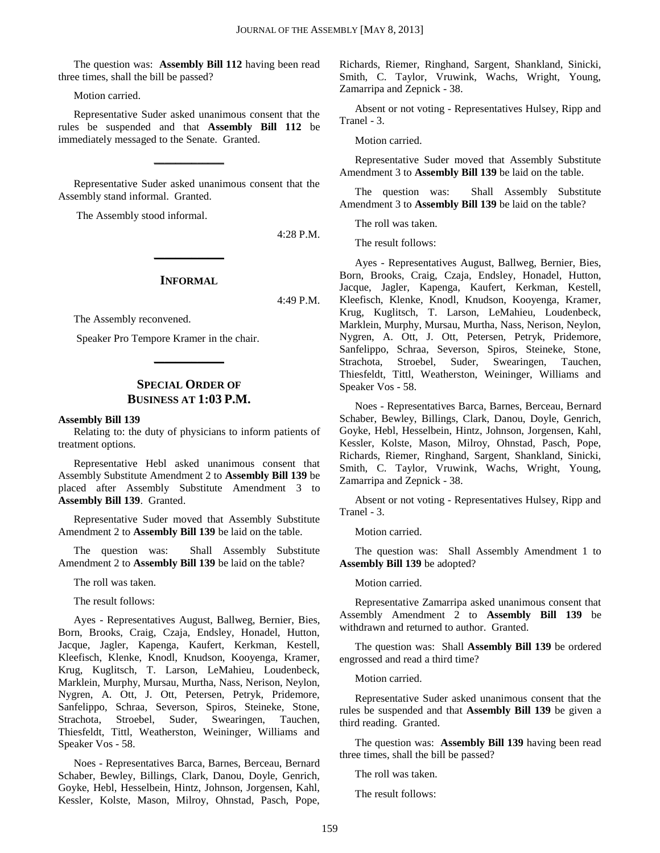The question was: **Assembly Bill 112** having been read three times, shall the bill be passed?

Motion carried.

Representative Suder asked unanimous consent that the rules be suspended and that **Assembly Bill 112** be immediately messaged to the Senate. Granted.

Representative Suder asked unanimous consent that the Assembly stand informal. Granted.

**\_\_\_\_\_\_\_\_\_\_\_\_\_**

The Assembly stood informal.

4:28 P.M.

#### **INFORMAL**

**\_\_\_\_\_\_\_\_\_\_\_\_\_**

4:49 P.M.

The Assembly reconvened.

Speaker Pro Tempore Kramer in the chair.

#### **SPECIAL ORDER OF BUSINESS AT 1:03 P.M.**

**\_\_\_\_\_\_\_\_\_\_\_\_\_**

#### **Assembly Bill 139**

Relating to: the duty of physicians to inform patients of treatment options.

Representative Hebl asked unanimous consent that Assembly Substitute Amendment 2 to **Assembly Bill 139** be placed after Assembly Substitute Amendment 3 to **Assembly Bill 139**. Granted.

Representative Suder moved that Assembly Substitute Amendment 2 to **Assembly Bill 139** be laid on the table.

The question was: Shall Assembly Substitute Amendment 2 to **Assembly Bill 139** be laid on the table?

The roll was taken.

The result follows:

Ayes - Representatives August, Ballweg, Bernier, Bies, Born, Brooks, Craig, Czaja, Endsley, Honadel, Hutton, Jacque, Jagler, Kapenga, Kaufert, Kerkman, Kestell, Kleefisch, Klenke, Knodl, Knudson, Kooyenga, Kramer, Krug, Kuglitsch, T. Larson, LeMahieu, Loudenbeck, Marklein, Murphy, Mursau, Murtha, Nass, Nerison, Neylon, Nygren, A. Ott, J. Ott, Petersen, Petryk, Pridemore, Sanfelippo, Schraa, Severson, Spiros, Steineke, Stone, Strachota, Stroebel, Suder, Swearingen, Tauchen, Thiesfeldt, Tittl, Weatherston, Weininger, Williams and Speaker Vos - 58.

Noes - Representatives Barca, Barnes, Berceau, Bernard Schaber, Bewley, Billings, Clark, Danou, Doyle, Genrich, Goyke, Hebl, Hesselbein, Hintz, Johnson, Jorgensen, Kahl, Kessler, Kolste, Mason, Milroy, Ohnstad, Pasch, Pope, Richards, Riemer, Ringhand, Sargent, Shankland, Sinicki, Smith, C. Taylor, Vruwink, Wachs, Wright, Young, Zamarripa and Zepnick - 38.

Absent or not voting - Representatives Hulsey, Ripp and Tranel - 3.

Motion carried.

Representative Suder moved that Assembly Substitute Amendment 3 to **Assembly Bill 139** be laid on the table.

The question was: Shall Assembly Substitute Amendment 3 to **Assembly Bill 139** be laid on the table?

The roll was taken.

The result follows:

Ayes - Representatives August, Ballweg, Bernier, Bies, Born, Brooks, Craig, Czaja, Endsley, Honadel, Hutton, Jacque, Jagler, Kapenga, Kaufert, Kerkman, Kestell, Kleefisch, Klenke, Knodl, Knudson, Kooyenga, Kramer, Krug, Kuglitsch, T. Larson, LeMahieu, Loudenbeck, Marklein, Murphy, Mursau, Murtha, Nass, Nerison, Neylon, Nygren, A. Ott, J. Ott, Petersen, Petryk, Pridemore, Sanfelippo, Schraa, Severson, Spiros, Steineke, Stone, Strachota, Stroebel, Suder, Swearingen, Tauchen, Thiesfeldt, Tittl, Weatherston, Weininger, Williams and Speaker Vos - 58.

Noes - Representatives Barca, Barnes, Berceau, Bernard Schaber, Bewley, Billings, Clark, Danou, Doyle, Genrich, Goyke, Hebl, Hesselbein, Hintz, Johnson, Jorgensen, Kahl, Kessler, Kolste, Mason, Milroy, Ohnstad, Pasch, Pope, Richards, Riemer, Ringhand, Sargent, Shankland, Sinicki, Smith, C. Taylor, Vruwink, Wachs, Wright, Young, Zamarripa and Zepnick - 38.

Absent or not voting - Representatives Hulsey, Ripp and Tranel - 3.

Motion carried.

The question was: Shall Assembly Amendment 1 to **Assembly Bill 139** be adopted?

Motion carried.

Representative Zamarripa asked unanimous consent that Assembly Amendment 2 to **Assembly Bill 139** be withdrawn and returned to author. Granted.

The question was: Shall **Assembly Bill 139** be ordered engrossed and read a third time?

Motion carried.

Representative Suder asked unanimous consent that the rules be suspended and that **Assembly Bill 139** be given a third reading. Granted.

The question was: **Assembly Bill 139** having been read three times, shall the bill be passed?

The roll was taken.

The result follows: